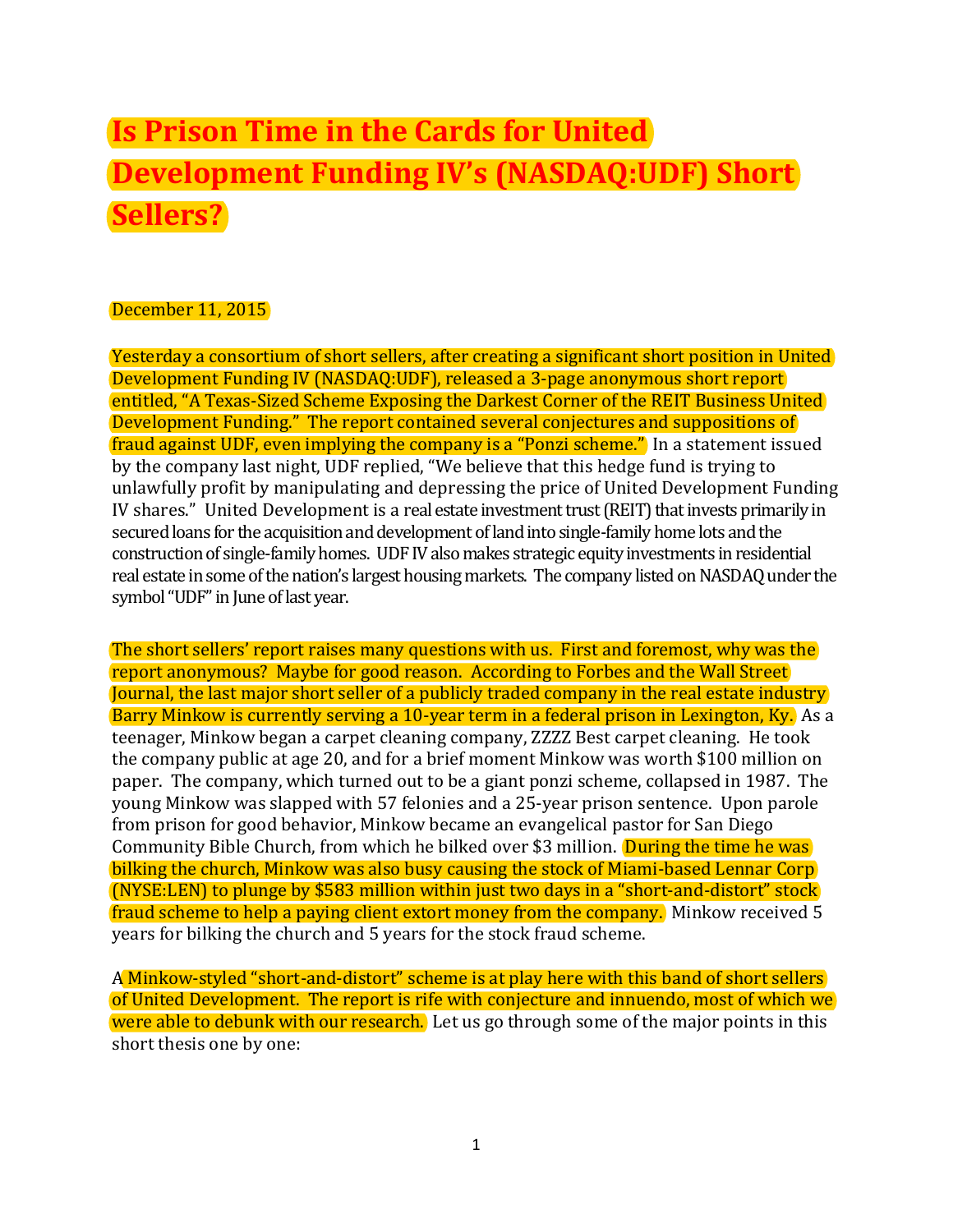## **Is Prison Time in the Cards for United Development Funding IV's (NASDAQ:UDF) Short Sellers?**

## December 11, 2015

Yesterday a consortium of short sellers, after creating a significant short position in United Development Funding IV (NASDAQ:UDF), released a 3-page anonymous short report entitled, "A Texas-Sized Scheme Exposing the Darkest Corner of the REIT Business United Development Funding." The report contained several conjectures and suppositions of fraud against UDF, even implying the company is a "Ponzi scheme." In a statement issued by the company last night, UDF replied, "We believe that this hedge fund is trying to unlawfully profit by manipulating and depressing the price of United Development Funding IV shares." United Development is a real estate investment trust (REIT) that invests primarily in secured loans for the acquisition and development of land into single-family home lots and the construction of single-family homes. UDF IV also makes strategic equity investments in residential real estate in some of the nation's largest housing markets. The company listed on NASDAQ under the symbol "UDF" in June of last year.

The short sellers' report raises many questions with us. First and foremost, why was the report anonymous? Maybe for good reason. According to Forbes and the Wall Street Journal, the last major short seller of a publicly traded company in the real estate industry Barry Minkow is currently serving a 10-year term in a federal prison in Lexington, Ky. As a teenager, Minkow began a carpet cleaning company, ZZZZ Best carpet cleaning. He took the company public at age 20, and for a brief moment Minkow was worth \$100 million on paper. The company, which turned out to be a giant ponzi scheme, collapsed in 1987. The young Minkow was slapped with 57 felonies and a 25-year prison sentence. Upon parole from prison for good behavior, Minkow became an evangelical pastor for San Diego Community Bible Church, from which he bilked over \$3 million. During the time he was bilking the church, Minkow was also busy causing the stock of Miami-based Lennar Corp (NYSE:LEN) to plunge by \$583 million within just two days in a "short-and-distort" stock fraud scheme to help a paying client extort money from the company. Minkow received 5 years for bilking the church and 5 years for the stock fraud scheme.

A Minkow-styled "short-and-distort" scheme is at play here with this band of short sellers of United Development. The report is rife with conjecture and innuendo, most of which we were able to debunk with our research. Let us go through some of the major points in this short thesis one by one: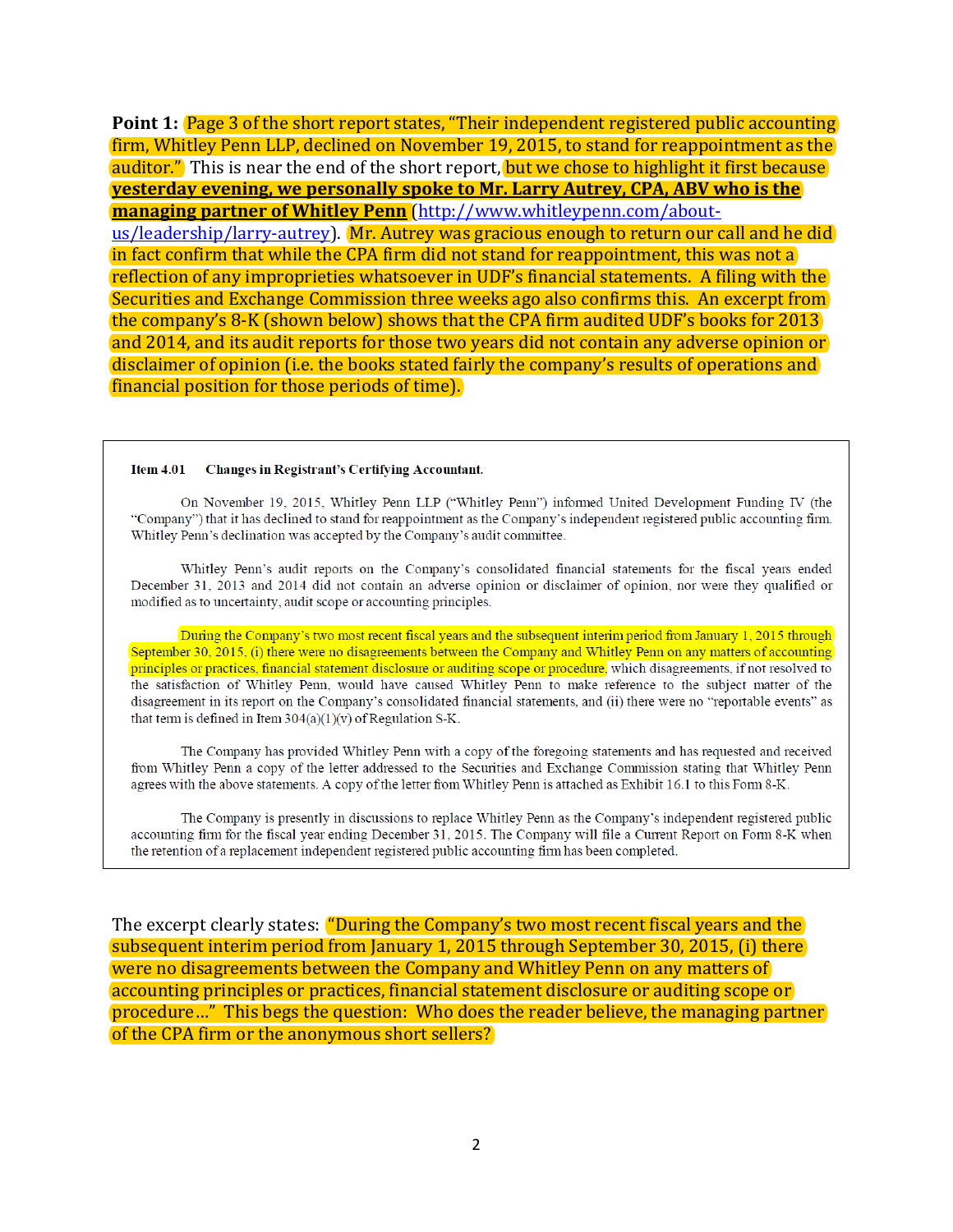Point 1: Page 3 of the short report states, "Their independent registered public accounting firm, Whitley Penn LLP, declined on November 19, 2015, to stand for reappointment as the auditor." This is near the end of the short report, but we chose to highlight it first because **yesterday evening, we personally spoke to Mr. Larry Autrey, CPA, ABV who is the managing partner of Whitley Penn** [\(http://www.whitleypenn.com/about](http://www.whitleypenn.com/about-us/leadership/larry-autrey)[us/leadership/larry-autrey\)](http://www.whitleypenn.com/about-us/leadership/larry-autrey). Mr. Autrey was gracious enough to return our call and he did in fact confirm that while the CPA firm did not stand for reappointment, this was not a reflection of any improprieties whatsoever in UDF's financial statements. A filing with the Securities and Exchange Commission three weeks ago also confirms this. An excerpt from the company's 8-K (shown below) shows that the CPA firm audited UDF's books for 2013 and 2014, and its audit reports for those two years did not contain any adverse opinion or disclaimer of opinion (i.e. the books stated fairly the company's results of operations and financial position for those periods of time).

## Item  $4.01$ **Changes in Registrant's Certifying Accountant.**

On November 19, 2015, Whitley Penn LLP ("Whitley Penn") informed United Development Funding IV (the "Company") that it has declined to stand for reappointment as the Company's independent registered public accounting firm. Whitley Penn's declination was accepted by the Company's audit committee.

Whitley Penn's audit reports on the Company's consolidated financial statements for the fiscal years ended December 31, 2013 and 2014 did not contain an adverse opinion or disclaimer of opinion, nor were they qualified or modified as to uncertainty, audit scope or accounting principles.

During the Company's two most recent fiscal years and the subsequent interim period from January 1, 2015 through September 30, 2015, (i) there were no disagreements between the Company and Whitley Penn on any matters of accounting principles or practices, financial statement disclosure or auditing scope or procedure, which disagreements, if not resolved to the satisfaction of Whitley Penn, would have caused Whitley Penn to make reference to the subject matter of the disagreement in its report on the Company's consolidated financial statements, and (ii) there were no "reportable events" as that term is defined in Item  $304(a)(1)(v)$  of Regulation S-K.

The Company has provided Whitley Penn with a copy of the foregoing statements and has requested and received from Whitley Penn a copy of the letter addressed to the Securities and Exchange Commission stating that Whitley Penn agrees with the above statements. A copy of the letter from Whitley Penn is attached as Exhibit 16.1 to this Form 8-K.

The Company is presently in discussions to replace Whitley Penn as the Company's independent registered public accounting firm for the fiscal year ending December 31, 2015. The Company will file a Current Report on Form 8-K when the retention of a replacement independent registered public accounting firm has been completed.

The excerpt clearly states: "During the Company's two most recent fiscal years and the subsequent interim period from January 1, 2015 through September 30, 2015, (i) there were no disagreements between the Company and Whitley Penn on any matters of accounting principles or practices, financial statement disclosure or auditing scope or procedure…" This begs the question: Who does the reader believe, the managing partner of the CPA firm or the anonymous short sellers?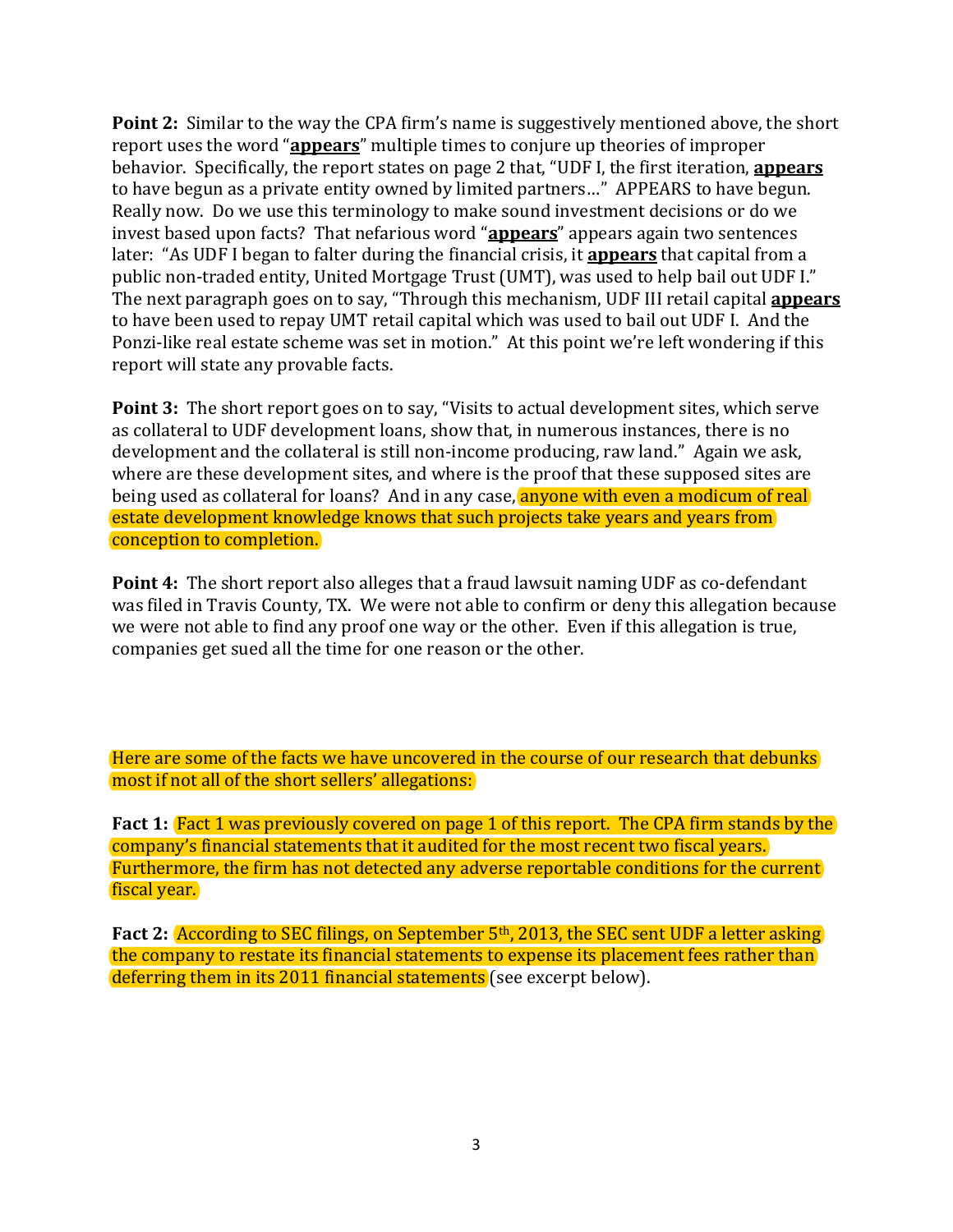**Point 2:** Similar to the way the CPA firm's name is suggestively mentioned above, the short report uses the word "**appears**" multiple times to conjure up theories of improper behavior. Specifically, the report states on page 2 that, "UDF I, the first iteration, **appears** to have begun as a private entity owned by limited partners…" APPEARS to have begun. Really now. Do we use this terminology to make sound investment decisions or do we invest based upon facts? That nefarious word "**appears**" appears again two sentences later: "As UDF I began to falter during the financial crisis, it **appears** that capital from a public non-traded entity, United Mortgage Trust (UMT), was used to help bail out UDF I." The next paragraph goes on to say, "Through this mechanism, UDF III retail capital **appears** to have been used to repay UMT retail capital which was used to bail out UDF I. And the Ponzi-like real estate scheme was set in motion." At this point we're left wondering if this report will state any provable facts.

**Point 3:** The short report goes on to say, "Visits to actual development sites, which serve as collateral to UDF development loans, show that, in numerous instances, there is no development and the collateral is still non‐income producing, raw land." Again we ask, where are these development sites, and where is the proof that these supposed sites are being used as collateral for loans? And in any case, anyone with even a modicum of real estate development knowledge knows that such projects take years and years from conception to completion.

**Point 4:** The short report also alleges that a fraud lawsuit naming UDF as co-defendant was filed in Travis County, TX. We were not able to confirm or deny this allegation because we were not able to find any proof one way or the other. Even if this allegation is true, companies get sued all the time for one reason or the other.

Here are some of the facts we have uncovered in the course of our research that debunks most if not all of the short sellers' allegations:

**Fact 1:** Fact 1 was previously covered on page 1 of this report. The CPA firm stands by the company's financial statements that it audited for the most recent two fiscal years. Furthermore, the firm has not detected any adverse reportable conditions for the current fiscal year.

**Fact 2:** According to SEC filings, on September 5th, 2013, the SEC sent UDF a letter asking the company to restate its financial statements to expense its placement fees rather than deferring them in its 2011 financial statements (see excerpt below).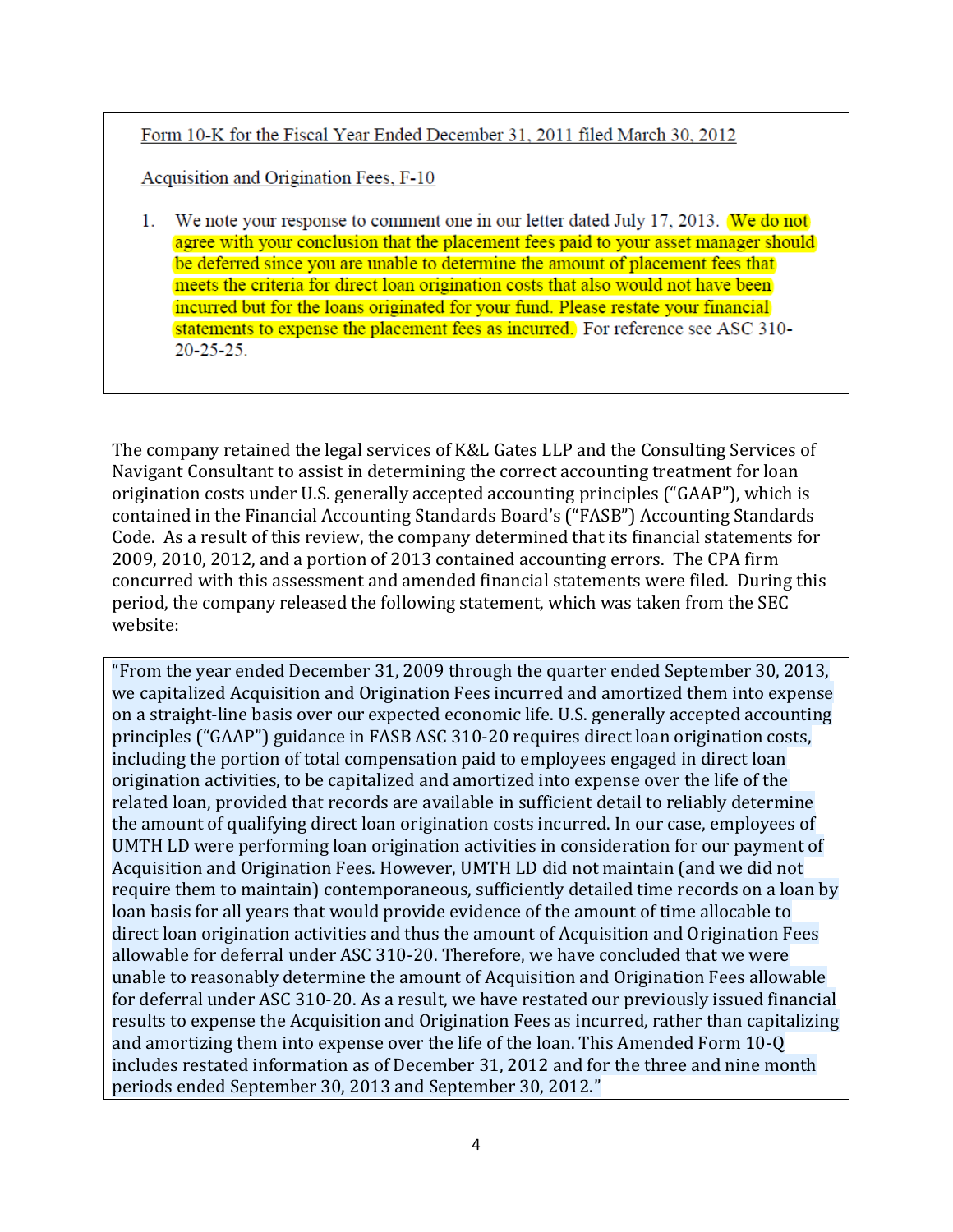Form 10-K for the Fiscal Year Ended December 31, 2011 filed March 30, 2012

Acquisition and Origination Fees, F-10

1. We note your response to comment one in our letter dated July 17, 2013. We do not agree with your conclusion that the placement fees paid to your asset manager should be deferred since you are unable to determine the amount of placement fees that meets the criteria for direct loan origination costs that also would not have been incurred but for the loans originated for your fund. Please restate your financial statements to expense the placement fees as incurred. For reference see ASC 310- $20 - 25 - 25$ .

The company retained the legal services of K&L Gates LLP and the Consulting Services of Navigant Consultant to assist in determining the correct accounting treatment for loan origination costs under U.S. generally accepted accounting principles ("GAAP"), which is contained in the Financial Accounting Standards Board's ("FASB") Accounting Standards Code. As a result of this review, the company determined that its financial statements for 2009, 2010, 2012, and a portion of 2013 contained accounting errors. The CPA firm concurred with this assessment and amended financial statements were filed. During this period, the company released the following statement, which was taken from the SEC website:

"From the year ended December 31, 2009 through the quarter ended September 30, 2013, we capitalized Acquisition and Origination Fees incurred and amortized them into expense on a straight-line basis over our expected economic life. U.S. generally accepted accounting principles ("GAAP") guidance in FASB ASC 310-20 requires direct loan origination costs, including the portion of total compensation paid to employees engaged in direct loan origination activities, to be capitalized and amortized into expense over the life of the related loan, provided that records are available in sufficient detail to reliably determine the amount of qualifying direct loan origination costs incurred. In our case, employees of UMTH LD were performing loan origination activities in consideration for our payment of Acquisition and Origination Fees. However, UMTH LD did not maintain (and we did not require them to maintain) contemporaneous, sufficiently detailed time records on a loan by loan basis for all years that would provide evidence of the amount of time allocable to direct loan origination activities and thus the amount of Acquisition and Origination Fees allowable for deferral under ASC 310-20. Therefore, we have concluded that we were unable to reasonably determine the amount of Acquisition and Origination Fees allowable for deferral under ASC 310-20. As a result, we have restated our previously issued financial results to expense the Acquisition and Origination Fees as incurred, rather than capitalizing and amortizing them into expense over the life of the loan. This Amended Form 10-Q includes restated information as of December 31, 2012 and for the three and nine month periods ended September 30, 2013 and September 30, 2012."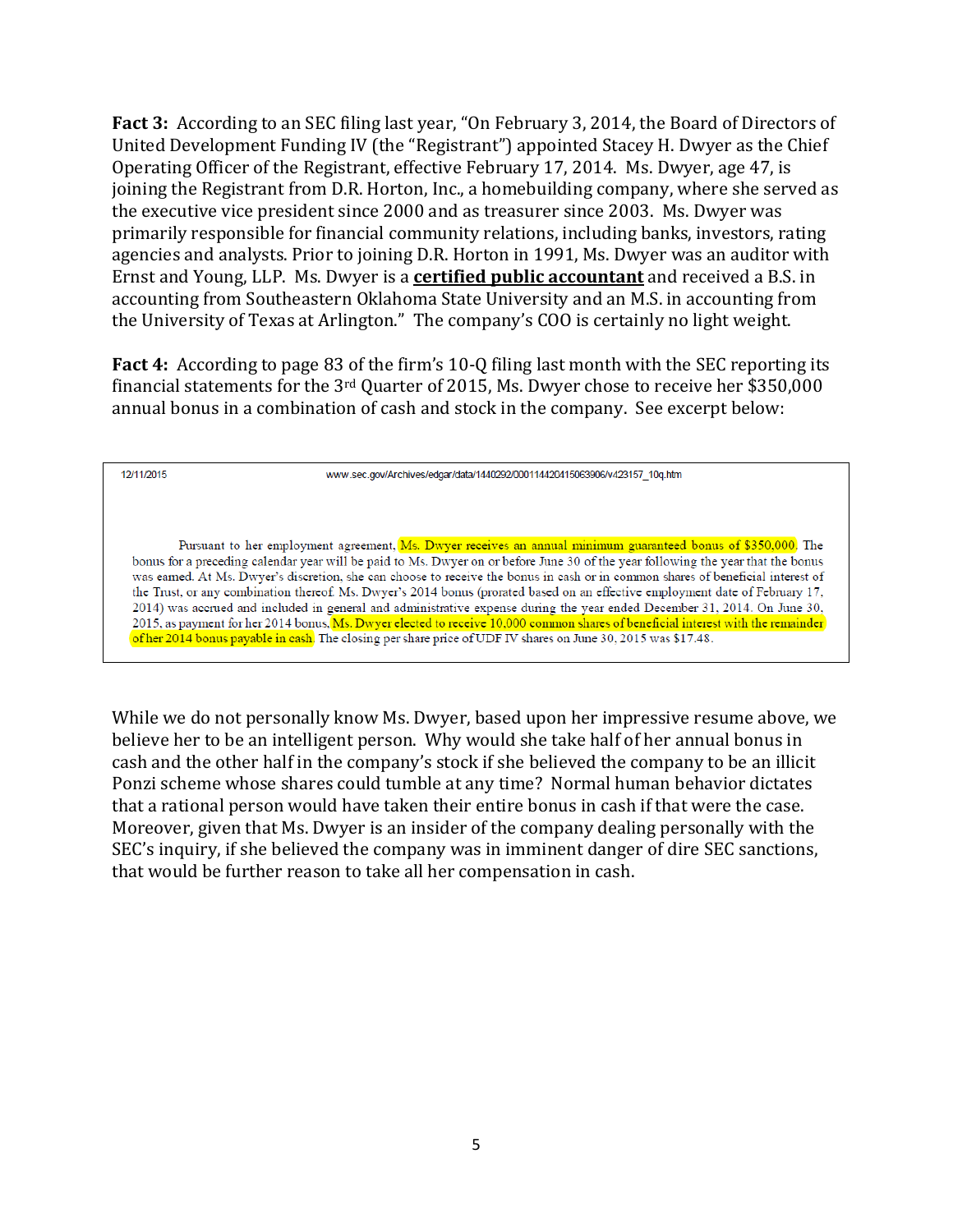**Fact 3:** According to an SEC filing last year, "On February 3, 2014, the Board of Directors of United Development Funding IV (the "Registrant") appointed Stacey H. Dwyer as the Chief Operating Officer of the Registrant, effective February 17, 2014. Ms. Dwyer, age 47, is joining the Registrant from D.R. Horton, Inc., a homebuilding company, where she served as the executive vice president since 2000 and as treasurer since 2003. Ms. Dwyer was primarily responsible for financial community relations, including banks, investors, rating agencies and analysts. Prior to joining D.R. Horton in 1991, Ms. Dwyer was an auditor with Ernst and Young, LLP. Ms. Dwyer is a **certified public accountant** and received a B.S. in accounting from Southeastern Oklahoma State University and an M.S. in accounting from the University of Texas at Arlington." The company's COO is certainly no light weight.

**Fact 4:** According to page 83 of the firm's 10-Q filing last month with the SEC reporting its financial statements for the 3rd Quarter of 2015, Ms. Dwyer chose to receive her \$350,000 annual bonus in a combination of cash and stock in the company. See excerpt below:

12/11/2015

www.sec.gov/Archives/edgar/data/1440292/000114420415063906/v423157\_10q.htm

Pursuant to her employment agreement, Ms. Dwyer receives an annual minimum guaranteed bonus of \$350,000. The bonus for a preceding calendar year will be paid to Ms. Dwyer on or before June 30 of the year following the year that the bonus was earned. At Ms. Dwyer's discretion, she can choose to receive the bonus in cash or in common shares of beneficial interest of the Trust, or any combination thereof. Ms. Dwyer's 2014 bonus (prorated based on an effective employment date of February 17, 2014) was accrued and included in general and administrative expense during the year ended December 31, 2014. On June 30, 2015, as payment for her 2014 bonus, Ms. Dwyer elected to receive 10,000 common shares of beneficial interest with the remainder of her 2014 bonus payable in cash. The closing per share price of UDF IV shares on June 30, 2015 was \$17.48.

While we do not personally know Ms. Dwyer, based upon her impressive resume above, we believe her to be an intelligent person. Why would she take half of her annual bonus in cash and the other half in the company's stock if she believed the company to be an illicit Ponzi scheme whose shares could tumble at any time? Normal human behavior dictates that a rational person would have taken their entire bonus in cash if that were the case. Moreover, given that Ms. Dwyer is an insider of the company dealing personally with the SEC's inquiry, if she believed the company was in imminent danger of dire SEC sanctions, that would be further reason to take all her compensation in cash.